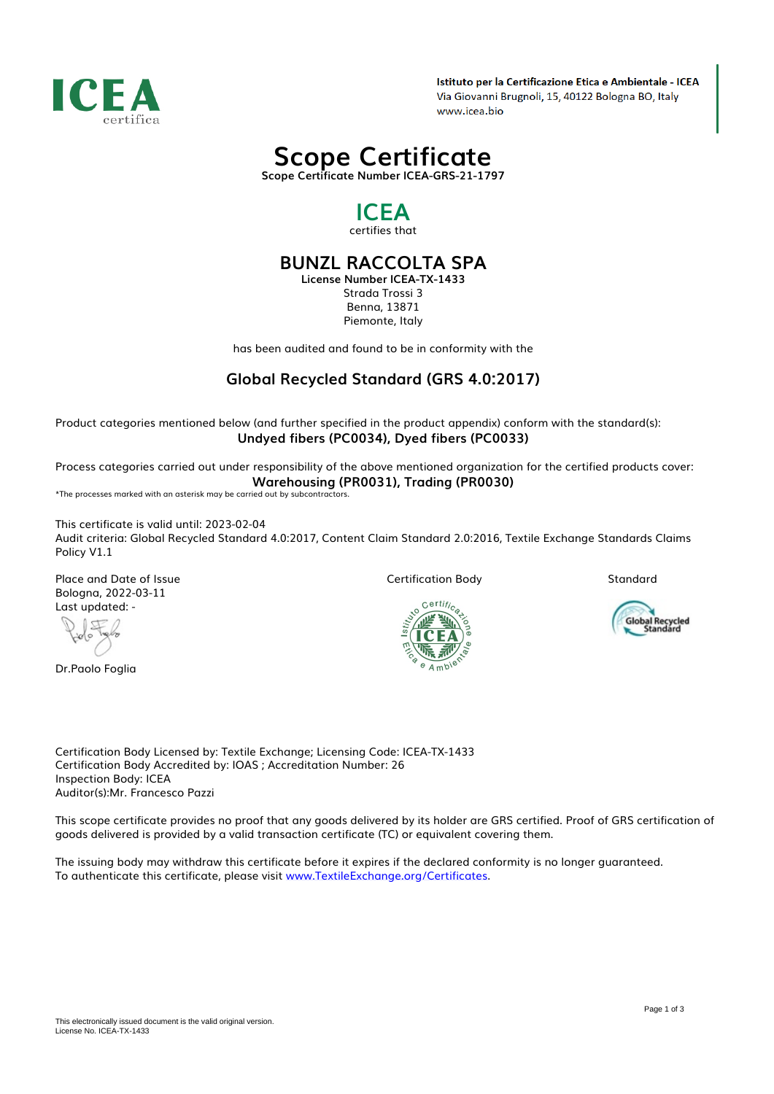

Istituto per la Certificazione Etica e Ambientale - ICEA Via Giovanni Brugnoli, 15, 40122 Bologna BO, Italy www.icea.bio

# *Scope Certificate*

*Scope Certificate Number ICEA-GRS-21-1797*

### *ICEA certifies that*

## *BUNZL RACCOLTA SPA*

*License Number ICEA-TX-1433 Strada Trossi 3 Benna, 13871 Piemonte, Italy*

*has been audited and found to be in conformity with the*

## *Global Recycled Standard (GRS 4.0:2017)*

*Product categories mentioned below (and further specified in the product appendix) conform with the standard(s): Undyed fibers (PC0034), Dyed fibers (PC0033)*

*Process categories carried out under responsibility of the above mentioned organization for the certified products cover: Warehousing (PR0031), Trading (PR0030)*

*\*The processes marked with an asterisk may be carried out by subcontractors.*

*This certificate is valid until: 2023-02-04 Audit criteria: Global Recycled Standard 4.0:2017, Content Claim Standard 2.0:2016, Textile Exchange Standards Claims Policy V1.1*

*Place and Date of Issue Bologna, 2022-03-11 Last updated: -*

 $\mathbb{C}$ 

*Dr.Paolo Foglia*

*Certification Body*

Certifi,

*Standard*



*Certification Body Licensed by: Textile Exchange; Licensing Code: ICEA-TX-1433 Certification Body Accredited by: IOAS ; Accreditation Number: 26 Inspection Body: ICEA Auditor(s):Mr. Francesco Pazzi*

*This scope certificate provides no proof that any goods delivered by its holder are GRS certified. Proof of GRS certification of goods delivered is provided by a valid transaction certificate (TC) or equivalent covering them.*

*The issuing body may withdraw this certificate before it expires if the declared conformity is no longer guaranteed. To authenticate this certificate, please visit [www.TextileExchange.org/Certificates](https://www.TextileExchange.org/Certificates).*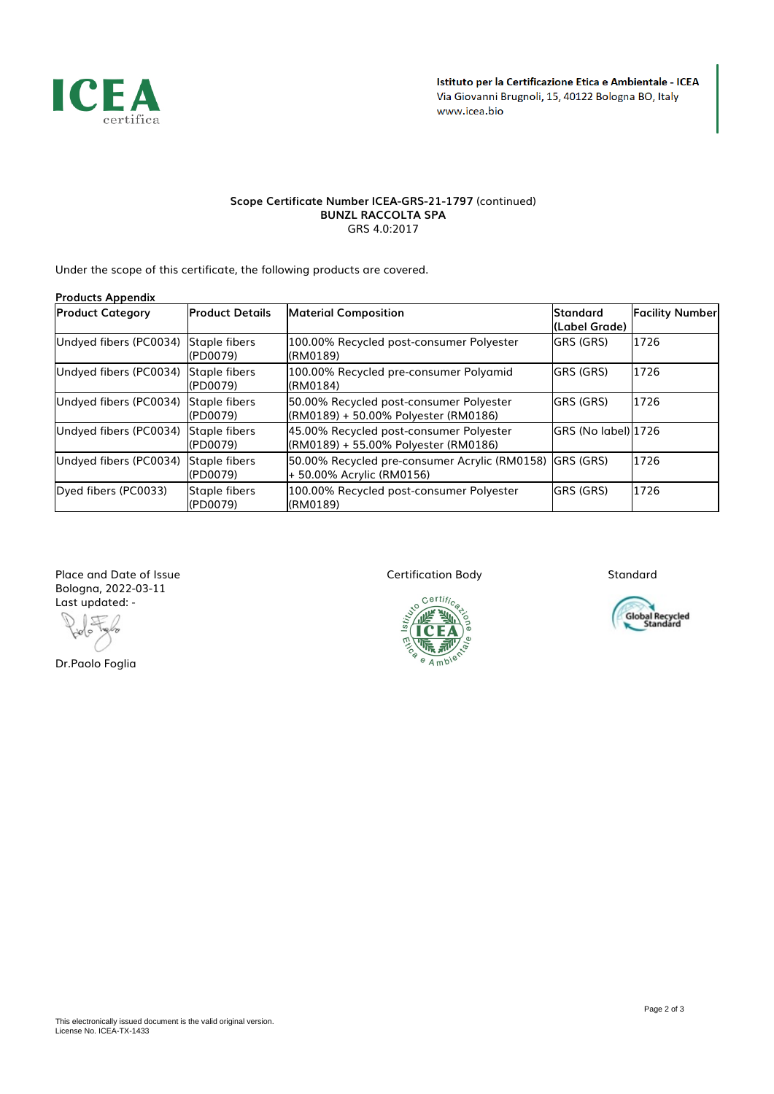

#### *Scope Certificate Number ICEA-GRS-21-1797 (continued) BUNZL RACCOLTA SPA GRS 4.0:2017*

*Under the scope of this certificate, the following products are covered.*

| <b>Products Appendix</b> |                           |                                                                                      |                                  |                        |
|--------------------------|---------------------------|--------------------------------------------------------------------------------------|----------------------------------|------------------------|
| <b>Product Category</b>  | <b>Product Details</b>    | <b>Material Composition</b>                                                          | <b>Standard</b><br>(Label Grade) | <b>Facility Number</b> |
| Undyed fibers (PC0034)   | Staple fibers<br>(PD0079) | 100.00% Recycled post-consumer Polyester<br>(RM0189)                                 | GRS (GRS)                        | 1726                   |
| Undyed fibers (PC0034)   | Staple fibers<br>(PD0079) | 100.00% Recycled pre-consumer Polyamid<br>(RM0184)                                   | <b>GRS (GRS)</b>                 | 1726                   |
| Undyed fibers (PC0034)   | Staple fibers<br>(PD0079) | 50.00% Recycled post-consumer Polyester<br>(RM0189) + 50.00% Polyester (RM0186)      | GRS (GRS)                        | 1726                   |
| Undyed fibers (PC0034)   | Staple fibers<br>(PD0079) | 45.00% Recycled post-consumer Polyester<br>(RM0189) + 55.00% Polyester (RM0186)      | GRS (No label) 1726              |                        |
| Undyed fibers (PC0034)   | Staple fibers<br>(PD0079) | 50.00% Recycled pre-consumer Acrylic (RM0158) GRS (GRS)<br>+ 50.00% Acrylic (RM0156) |                                  | 1726                   |
| Dyed fibers (PC0033)     | Staple fibers<br>(PD0079) | 100.00% Recycled post-consumer Polyester<br>(RM0189)                                 | <b>GRS (GRS)</b>                 | 1726                   |

*Place and Date of Issue Bologna, 2022-03-11 Last updated: -*

₫

*Dr.Paolo Foglia*

*Certification Body*



*Standard*